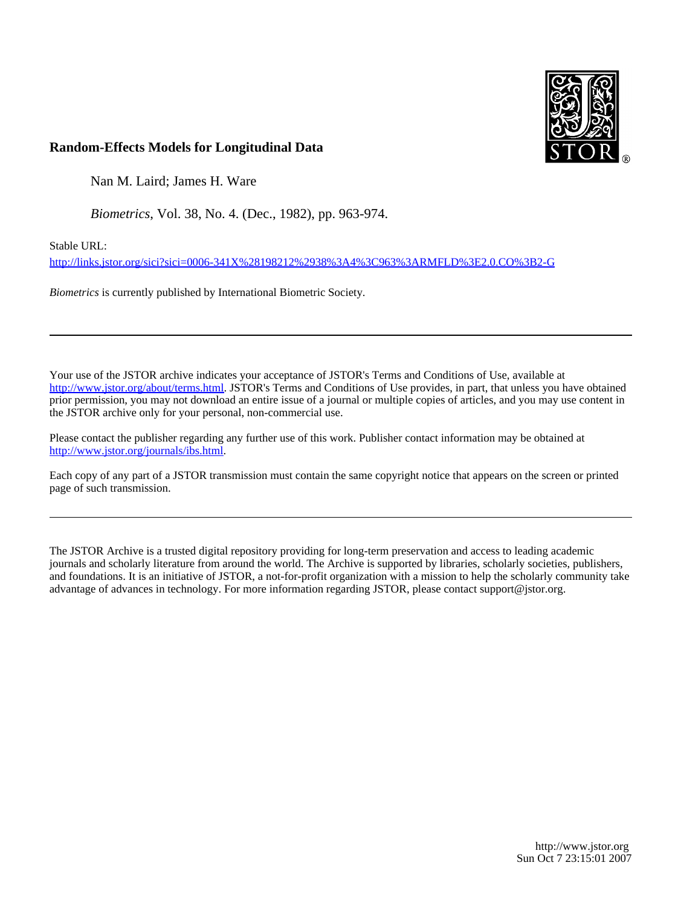

## **Random-Effects Models for Longitudinal Data**

Nan M. Laird; James H. Ware

*Biometrics*, Vol. 38, No. 4. (Dec., 1982), pp. 963-974.

Stable URL:

<http://links.jstor.org/sici?sici=0006-341X%28198212%2938%3A4%3C963%3ARMFLD%3E2.0.CO%3B2-G>

*Biometrics* is currently published by International Biometric Society.

Your use of the JSTOR archive indicates your acceptance of JSTOR's Terms and Conditions of Use, available at [http://www.jstor.org/about/terms.html.](http://www.jstor.org/about/terms.html) JSTOR's Terms and Conditions of Use provides, in part, that unless you have obtained prior permission, you may not download an entire issue of a journal or multiple copies of articles, and you may use content in the JSTOR archive only for your personal, non-commercial use.

Please contact the publisher regarding any further use of this work. Publisher contact information may be obtained at <http://www.jstor.org/journals/ibs.html>.

Each copy of any part of a JSTOR transmission must contain the same copyright notice that appears on the screen or printed page of such transmission.

The JSTOR Archive is a trusted digital repository providing for long-term preservation and access to leading academic journals and scholarly literature from around the world. The Archive is supported by libraries, scholarly societies, publishers, and foundations. It is an initiative of JSTOR, a not-for-profit organization with a mission to help the scholarly community take advantage of advances in technology. For more information regarding JSTOR, please contact support@jstor.org.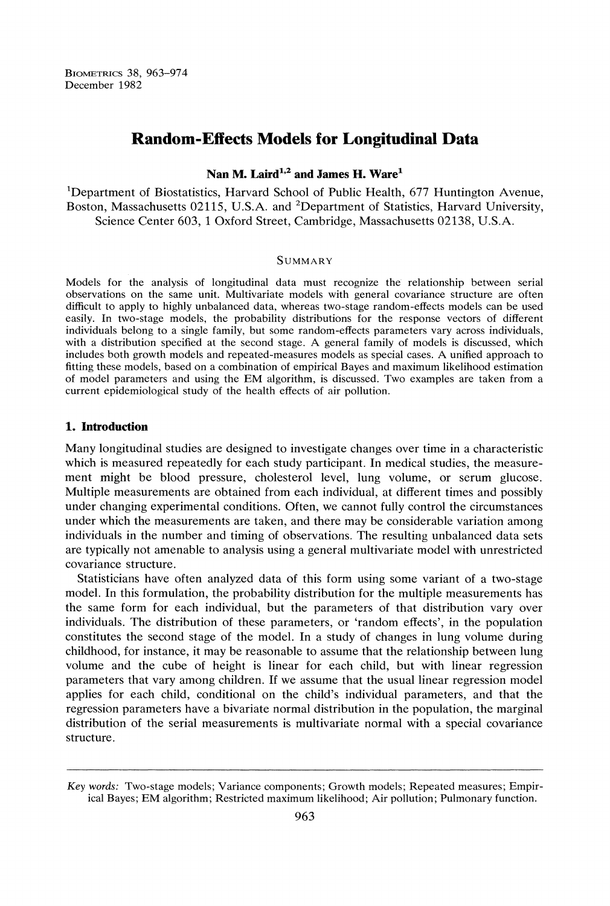BIOMETRICS 38, 963-974 December 1982

# **Random-Eff ects Models for Longitudinal Data**

## *Nan M. Laird*<sup>1,2</sup> and James H. Ware<sup>1</sup>

'Department of Biostatistics, Harvard School of Public Health, 677 Huntington Avenue, Boston, Massachusetts 02115, U.S.A. and <sup>2</sup>Department of Statistics, Harvard University, Science Center 603, 1Oxford Street, Cambridge, Massachusetts 02138, U.S.A.

#### **SUMMARY**

Models for the analysis of longitudinal data must recognize the relationship between serial observations on the same unit. Multivariate models with general covariance structure are often difficult to apply to highly unbalanced data, whereas two-stage random-effects models can be used easily. In two-stage models, the probability distributions for the response vectors of different individuals belong to a single family, but some random-effects parameters vary across individuals, with a distribution specified at the second stage. A general family of models is discussed, which includes both growth models and repeated-measures models as special cases. A unified approach to fitting these models, based on a combination of empirical Bayes and maximum likelihood estimation of model parameters and using the EM algorithm, is discussed. Two examples are taken from a current epidemiological study of the health effects of air pollution.

## 1. Introduction

Many longitudinal studies are designed to investigate changes over time in a characteristic which is measured repeatedly for each study participant. In medical studies, the measurement might be blood pressure, cholesterol level, lung volume, or serum glucose. Multiple measurements are obtained from each individual, at different times and possibly under changing experimental conditions. Often, we cannot fully control the circumstances under which the measurements are taken, and there may be considerable variation among individuals in the number and timing of observations. The resulting unbalanced data sets are typically not amenable to analysis using a general multivariate model with unrestricted covariance structure.

Statisticians have often analyzed data of this form using some variant of a two-stage model. In this formulation, the probability distribution for the multiple measurements has the same form for each individual, but the parameters of that distribution vary over individuals. The distribution of these parameters, or 'random effects', in the population constitutes the second stage of the model. In a study of changes in lung volume during childhood, for instance, it may be reasonable to assume that the relationship between lung volume and the cube of height is linear for each child, but with linear regression parameters that vary among children. If we assume that the usual linear regression model applies for each child, conditional on the child's individual parameters, and that the regression parameters have a bivariate normal distribution in the population, the marginal distribution of the serial measurements is multivariate normal with a special covariance structure.

Key words: Two-stage models; Variance components; Growth models; Repeated measures; Empirical Bayes; EM algorithm; Restricted maximum likelihood; Air pollution; Pulmonary function.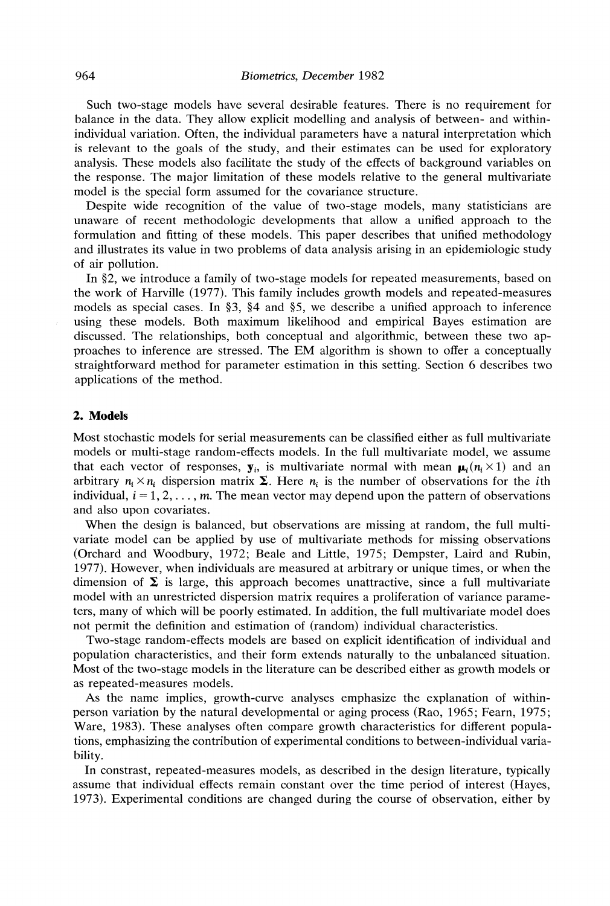Such two-stage models have several desirable features. There is no requirement for balance in the data. They allow explicit modelling and analysis of between- and withinindividual variation. Often, the individual parameters have a natural interpretation which is relevant to the goals of the study, and their estimates can be used for exploratory analysis. These models also facilitate the study of the effects of background variables on the response. The major limitation of these models relative to the general multivariate model is the special form assumed for the covariance structure.

Despite wide recognition of the value of two-stage models, many statisticians are unaware of recent methodologic developments that allow a unified approach to the formulation and fitting of these models. This paper describes that unified methodology and illustrates its value in two problems of data analysis arising in an epidemiologic study of air pollution.

In \$2, we introduce a family of two-stage models for repeated measurements, based on the work of Harville (1977). This family includes growth models and repeated-measures models as special cases. In \$3, \$4 and \$5, we describe a unified approach to inference using these models. Both maximum likelihood and empirical Bayes estimation are discussed. The relationships, both conceptual and algorithmic, between these two approaches to inference are stressed. The EM algorithm is shown to offer a conceptually straightforward method for parameter estimation in this setting. Section 6 describes two applications of the method.

## **2. Models**

Most stochastic models for serial measurements can be classified either as full multivariate models or multi-stage random-effects models. In the full multivariate model, we assume that each vector of responses,  $\mathbf{y}_i$ , is multivariate normal with mean  $\mathbf{\mu}_i(n_i \times 1)$  and an arbitrary  $n_i \times n_i$  dispersion matrix  $\Sigma$ . Here  $n_i$  is the number of observations for the *i*th individual,  $i = 1, 2, \ldots, m$ . The mean vector may depend upon the pattern of observations and also upon covariates.

When the design is balanced, but observations are missing at random, the full multivariate model can be applied by use of multivariate methods for missing observations (Orchard and Woodbury, 1972; Beale and Little, 1975; Dempster, Laird and Rubin, 1977). However, when individuals are measured at arbitrary or unique times, or when the dimension of  $\Sigma$  is large, this approach becomes unattractive, since a full multivariate model with an unrestricted dispersion matrix requires a proliferation of variance parameters, many of which will be poorly estimated. In addition, the full multivariate model does not permit the definition and estimation of (random) individual characteristics.

Two-stage random-effects models are based on explicit identification of individual and population characteristics, and their form extends naturally to the unbalanced situation. Most of the two-stage models in the literature can be described either as growth models or as repeated-measures models.

As the name implies, growth-curve analyses emphasize the explanation of withinperson variation by the natural developmental or aging process (Rao, 1965; Fearn, 1975; Ware, 1983). These analyses often compare growth characteristics for different populations, emphasizing the contribution of experimental conditions to between-individual variability.

In constrast, repeated-measures models, as described in the design literature, typically assume that individual effects remain constant over the time period of interest (Hayes, 1973). Experimental conditions are changed during the course of observation, either by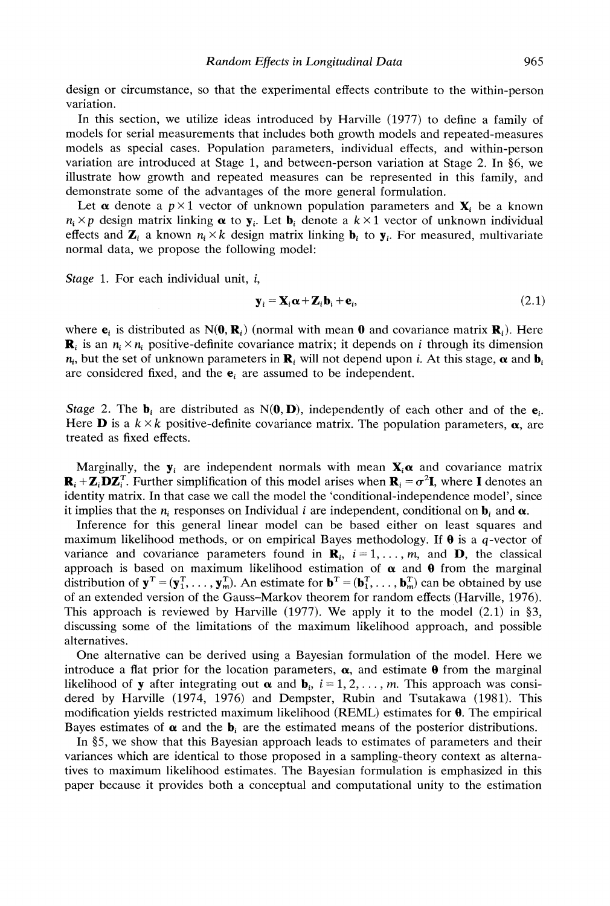design or circumstance, so that the experimental effects contribute to the within-person variation.

In this section, we utilize ideas introduced by Harville (1977) to define a family of models for serial measurements that includes both growth models and repeated-measures models as special cases. Population parameters, individual effects, and within-person variation are introduced at Stage 1, and between-person variation at Stage 2. In \$6, we illustrate how growth and repeated measures can be represented in this family, and demonstrate some of the advantages of the more general formulation.

Let  $\alpha$  denote a  $p \times 1$  vector of unknown population parameters and  $\mathbf{X}_i$  be a known  $n_i \times p$  design matrix linking  $\alpha$  to  $y_i$ . Let  $b_i$  denote a  $k \times 1$  vector of unknown individual effects and  $\mathbf{Z}_i$  a known  $n_i \times k$  design matrix linking  $\mathbf{b}_i$  to  $\mathbf{y}_i$ . For measured, multivariate normal data, we propose the following model:

Stage 1. For each individual unit, *i*,

$$
\mathbf{y}_i = \mathbf{X}_i \boldsymbol{\alpha} + \mathbf{Z}_i \mathbf{b}_i + \mathbf{e}_i, \tag{2.1}
$$

where  $e_i$  is distributed as N(0,  $\mathbf{R}_i$ ) (normal with mean 0 and covariance matrix  $\mathbf{R}_i$ ). Here  $\mathbf{R}_i$  is an  $n_i \times n_i$  positive-definite covariance matrix; it depends on *i* through its dimension  $n_i$ , but the set of unknown parameters in  $\mathbf{R}_i$  will not depend upon i. At this stage,  $\alpha$  and  $\mathbf{b}_i$ are considered fixed, and the  $e_i$  are assumed to be independent.

*Stage* 2. The  $\mathbf{b}_i$  are distributed as  $N(\mathbf{0}, \mathbf{D})$ , independently of each other and of the  $\mathbf{e}_i$ . Here **D** is a  $k \times k$  positive-definite covariance matrix. The population parameters,  $\alpha$ , are treated as fixed effects.

Marginally, the  $y_i$  are independent normals with mean  $X_i \alpha$  and covariance matrix  $\mathbf{R}_i + \mathbf{Z}_i \mathbf{D} \mathbf{Z}_i^T$ . Further simplification of this model arises when  $\mathbf{R}_i = \sigma^2 \mathbf{I}$ , where I denotes an identity matrix. In that case we call the model the 'conditional-independence model', since it implies that the  $n_i$  responses on Individual i are independent, conditional on  $\mathbf{b}_i$  and  $\alpha$ .

Inference for this general linear model can be based either on least squares and maximum likelihood methods, or on empirical Bayes methodology. If **0** is a q-vector of variance and covariance parameters found in  $\mathbf{R}_i$ ,  $i = 1, \ldots, m$ , and  $\mathbf{D}$ , the classical approach is based on maximum likelihood estimation of  $\alpha$  and  $\theta$  from the marginal distribution of  $\mathbf{y}^T = (\mathbf{y}_1^T, \dots, \mathbf{y}_m^T)$ . An estimate for  $\mathbf{b}^T = (\mathbf{b}_1^T, \dots, \mathbf{b}_m^T)$  can be obtained by use of an extended version of the Gauss-Markov theorem for random effects (Harville, 1976). This approach is reviewed by Harville (1977). We apply it to the model  $(2.1)$  in §3, discussing some of the limitations of the maximum likelihood approach, and possible alternatives.

One alternative can be derived using a Bayesian formulation of the model. Here we introduce a flat prior for the location parameters,  $\alpha$ , and estimate  $\theta$  from the marginal likelihood of **y** after integrating out  $\alpha$  and  $\mathbf{b}_i$ ,  $i = 1, 2, \ldots, m$ . This approach was considered by Harville (1974, 1976) and Dempster, Rubin and Tsutakawa (1981). This modification yields restricted maximum likelihood (REML) estimates for **0.** The empirical Bayes estimates of  $\alpha$  and the  $\mathbf{b}_i$  are the estimated means of the posterior distributions.

In \$5, we show that this Bayesian approach leads to estimates of parameters and their variances which are identical to those proposed in a sampling-theory context as alternatives to maximum likelihood estimates. The Bayesian formulation is emphasized in this paper because it provides both a conceptual and computational unity to the estimation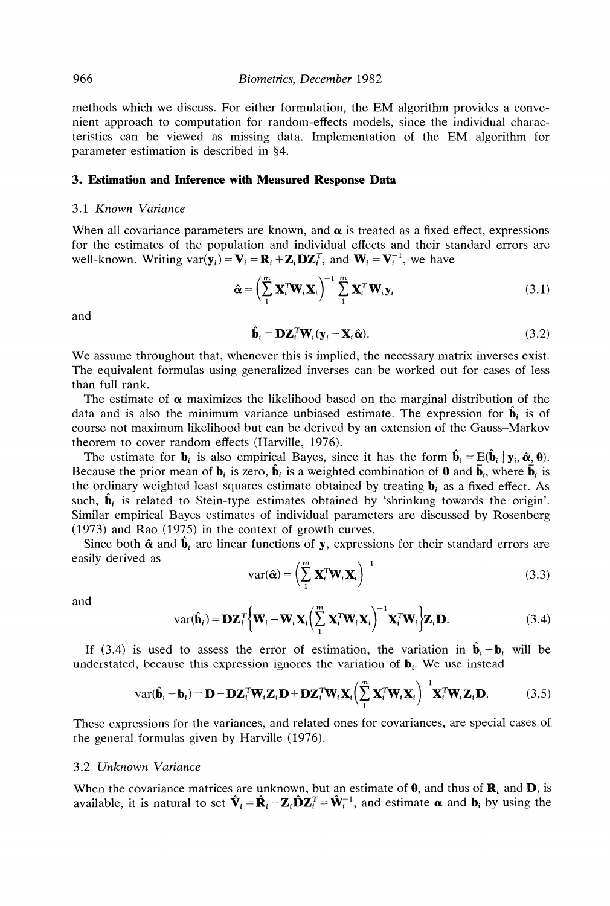methods which we discuss. For either formulation, the EM algorithm provides a convenient approach to computation for random-effects models, since the individual characteristics can be viewed as missing data. Implementation of the EM algorithm for parameter estimation is described in §4.

## **3. Estimation and Inference with Measured Response Data**

#### 3.1 *Known Variance*

When all covariance parameters are known, and  $\alpha$  is treated as a fixed effect, expressions for the estimates of the population and individual effects and their standard errors are well-known. Writing  $var(\mathbf{y}_i) = \mathbf{V}_i = \mathbf{R}_i + \mathbf{Z}_i \mathbf{D} \mathbf{Z}_i^T$ , and  $\mathbf{W}_i = \mathbf{V}_i^{-1}$ , we have

$$
\hat{\mathbf{\alpha}} = \left(\sum_{1}^{m} \mathbf{X}_{i}^{T} \mathbf{W}_{i} \mathbf{X}_{i}\right)^{-1} \sum_{1}^{m} \mathbf{X}_{i}^{T} \mathbf{W}_{i} \mathbf{y}_{i}
$$
(3.1)

and

$$
\hat{\mathbf{b}}_i = \mathbf{D} \mathbf{Z}_i^T \mathbf{W}_i (\mathbf{y}_i - \mathbf{X}_i \hat{\mathbf{\alpha}}).
$$
\n(3.2)

We assume throughout that, whenever this is implied, the necessary matrix inverses exist. The equivalent formulas using generalized inverses can be worked out for cases of less than full rank.

The estimate of  $\alpha$  maximizes the likelihood based on the marginal distribution of the data and is also the minimum variance unbiased estimate. The expression for  $\hat{\mathbf{b}}_i$  is of course not maximum likelihood but can be derived by an extension of the Gauss-Markov theorem to cover random effects (Harville, 1976).

The estimate for  $\mathbf{b}_i$  is also empirical Bayes, since it has the form  $\hat{\mathbf{b}}_i = E(\hat{\mathbf{b}}_i | \mathbf{y}_i, \hat{\boldsymbol{\alpha}}, \boldsymbol{\theta})$ . Because the prior mean of  $\mathbf{b}_i$  is zero,  $\hat{\mathbf{b}}_i$  is a weighted combination of **0** and  $\bar{\mathbf{b}}_i$ , where  $\bar{\mathbf{b}}_i$  is the ordinary weighted least squares estimate obtained by treating  $\mathbf{b}_i$ , as a fixed effect. As such,  $\hat{\mathbf{b}}_i$  is related to Stein-type estimates obtained by 'shrinking towards the origin'. Similar empirical Bayes estimates of individual parameters are discussed by Rosenberg (1973) and Rao (1975) in the context of growth curves.

Since both  $\hat{\alpha}$  and  $\hat{\mathbf{b}}_i$  are linear functions of y, expressions for their standard errors are easily derived as

$$
var(\hat{\mathbf{\alpha}}) = \left(\sum_{1}^{m} \mathbf{X}_{i}^{T} \mathbf{W}_{i} \mathbf{X}_{i}\right)^{-1}
$$
(3.3)

and

$$
var(\hat{\mathbf{b}}_i) = \mathbf{D} \mathbf{Z}_i^T \Big\{ \mathbf{W}_i - \mathbf{W}_i \mathbf{X}_i \Big( \sum_{1}^{m} \mathbf{X}_i^T \mathbf{W}_i \mathbf{X}_i \Big)^{-1} \mathbf{X}_i^T \mathbf{W}_i \Big\} \mathbf{Z}_i \mathbf{D}.
$$
 (3.4)

If (3.4) is used to assess the error of estimation, the variation in  $\hat{\mathbf{b}}_i - \mathbf{b}_i$  will be understated, because this expression ignores the variation of  $\mathbf{b}_i$ . We use instead

$$
var(\hat{\mathbf{b}}_i - \mathbf{b}_i) = \mathbf{D} - \mathbf{D} \mathbf{Z}_i^T \mathbf{W}_i \mathbf{Z}_i \mathbf{D} + \mathbf{D} \mathbf{Z}_i^T \mathbf{W}_i \mathbf{X}_i \left( \sum_{i=1}^{m} \mathbf{X}_i^T \mathbf{W}_i \mathbf{X}_i \right)^{-1} \mathbf{X}_i^T \mathbf{W}_i \mathbf{Z}_i \mathbf{D}.
$$
 (3.5)

These expressions for the variances, and related ones for covariances, are special cases of the general formulas given by Harville (1976).

#### 3.2 *Unknown Variance*

When the covariance matrices are unknown, but an estimate of  $\theta$ , and thus of  $\mathbf{R}_i$  and  $\mathbf{D}$ , is available, it is natural to set  $\hat{\mathbf{V}}_i = \hat{\mathbf{R}}_i + \mathbf{Z}_i \hat{\mathbf{D}} \mathbf{Z}_i^T = \hat{\mathbf{W}}_i^{-1}$ , and estimate  $\alpha$  and  $\mathbf{b}_i$  by using the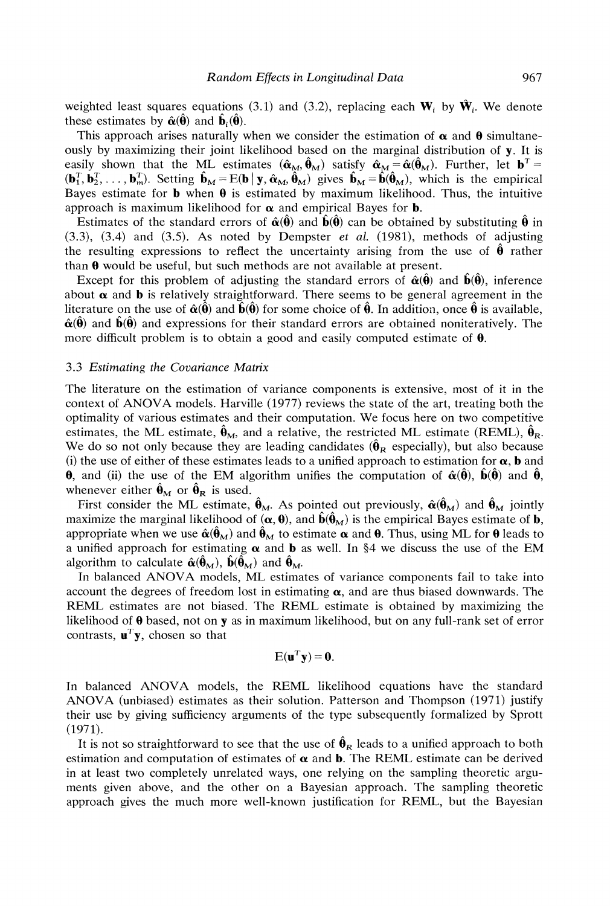weighted least squares equations (3.1) and (3.2), replacing each  $W_i$  by  $\hat{W}_i$ . We denote these estimates by  $\hat{\alpha}(\hat{\theta})$  and  $\hat{\mathbf{b}}_i(\hat{\theta})$ .

This approach arises naturally when we consider the estimation of  $\alpha$  and  $\theta$  simultaneously by maximizing their joint likelihood based on the marginal distribution of y. It is easily shown that the ML estimates  $(\hat{\alpha}_{M}, \hat{\theta}_{M})$  satisfy  $\hat{\alpha}_{M}=\hat{\alpha}(\hat{\theta}_{M})$ . Further, let  $\mathbf{b}^{T}=\hat{\alpha}(\hat{\theta}_{M})$  $(\mathbf{b}_1^T, \mathbf{b}_2^T, \dots, \mathbf{b}_m^T)$ . Setting  $\hat{\mathbf{b}}_M = E(\mathbf{b} | \mathbf{y}, \hat{\alpha}_M, \hat{\theta}_M)$  gives  $\hat{\mathbf{b}}_M = \hat{\mathbf{b}}(\hat{\theta}_M)$ , which is the empirical Bayes estimate for **b** when  $\theta$  is estimated by maximum likelihood. Thus, the intuitive approach is maximum likelihood for  $\alpha$  and empirical Bayes for **b**.

Estimates of the standard errors of  $\hat{\alpha}(\hat{\theta})$  and  $\hat{\beta}(\hat{\theta})$  can be obtained by substituting  $\hat{\theta}$  in  $(3.3)$ ,  $(3.4)$  and  $(3.5)$ . As noted by Dempster *et al.*  $(1981)$ , methods of adjusting the resulting expressions to reflect the uncertainty arising from the use of  $\hat{\theta}$  rather than **0** would be useful, but such methods are not available at present.

Except for this problem of adjusting the standard errors of  $\hat{\alpha}(\hat{\theta})$  and  $\hat{b}(\hat{\theta})$ , inference about  $\alpha$  and **b** is relatively straightforward. There seems to be general agreement in the literature on the use of  $\hat{\alpha}(\hat{\theta})$  and  $\hat{b}(\hat{\theta})$  for some choice of  $\hat{\theta}$ . In addition, once  $\hat{\theta}$  is available,  $\hat{\alpha}(\hat{\theta})$  and  $\hat{\beta}(\hat{\theta})$  and expressions for their standard errors are obtained noniteratively. The more difficult problem is to obtain a good and easily computed estimate of  $\theta$ .

#### 3.3 *Estimating the Covariance Matrix*

The literature on the estimation of variance components is extensive, most of it in the context of ANOVA models. Harville (1977) reviews the state of the art, treating both the optimality of various estimates and their computation. We focus here on two competitive estimates, the ML estimate,  $\hat{\theta}_M$ , and a relative, the restricted ML estimate (REML),  $\hat{\theta}_R$ . We do so not only because they are leading candidates  $(\hat{\theta}_R$  especially), but also because (i) the use of either of these estimates leads to a unified approach to estimation for  $\alpha$ , **b** and **0,** and (ii) the use of the EM algorithm unifies the computation of  $\hat{\alpha}(\hat{\theta})$ ,  $\hat{\mathbf{b}}(\hat{\theta})$  and  $\hat{\theta}$ , whenever either  $\hat{\theta}_M$  or  $\hat{\theta}_R$  is used.

First consider the ML estimate,  $\hat{\theta}_M$ . As pointed out previously,  $\hat{\alpha}(\hat{\theta}_M)$  and  $\hat{\theta}_M$  jointly maximize the marginal likelihood of  $(\alpha, \theta)$ , and  $\hat{\mathbf{b}}(\hat{\theta}_M)$  is the empirical Bayes estimate of **b**, appropriate when we use  $\hat{\alpha}(\hat{\theta}_M)$  and  $\hat{\theta}_M$  to estimate  $\alpha$  and  $\theta$ . Thus, using ML for  $\theta$  leads to a unified approach for estimating  $\alpha$  and  $\bf{b}$  as well. In §4 we discuss the use of the EM algorithm to calculate  $\hat{\alpha}(\hat{\theta}_M)$ ,  $\hat{\mathbf{b}}(\hat{\theta}_M)$  and  $\hat{\theta}_M$ .

In balanced ANOVA models, ML estimates of variance components fail to take into account the degrees of freedom lost in estimating  $\alpha$ , and are thus biased downwards. The REML estimates are not biased. The REML estimate is obtained by maximizing the likelihood of  $\theta$  based, not on y as in maximum likelihood, but on any full-rank set of error contrasts,  $\mathbf{u}^T \mathbf{y}$ , chosen so that

$$
E(\mathbf{u}^T \mathbf{y}) = \mathbf{0}.
$$

In balanced ANOVA models, the REML likelihood equations have the standard ANOVA (unbiased) estimates as their solution. Patterson and Thompson (1971) justify their use by giving sufficiency arguments of the type subsequently formalized by Sprott (1971).

It is not so straightforward to see that the use of  $\hat{\theta}_R$  leads to a unified approach to both estimation and computation of estimates of  $\alpha$  and  $\beta$ . The REML estimate can be derived in at least two completely unrelated ways, one relying on the sampling theoretic arguments given above, and the other on a Bayesian approach. The sampling theoretic approach gives the much more well-known justification for REML, but the Bayesian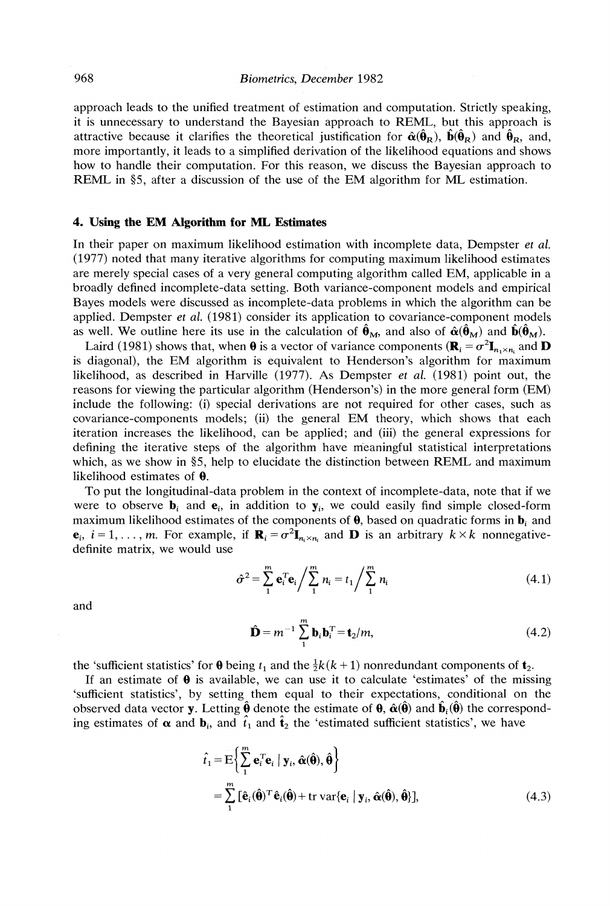approach leads to the unified treatment of estimation and computation. Strictly speaking, it is unnecessary to understand the Bayesian approach to REML, but this approach is attractive because it clarifies the theoretical justification for  $\hat{\alpha}(\hat{\theta}_R)$ ,  $\hat{\beta}(\hat{\theta}_R)$  and  $\hat{\theta}_R$ , and, more importantly, it leads to a simplified derivation of the likelihood equations and shows how to handle their computation. For this reason, we discuss the Bayesian approach to REML in §5, after a discussion of the use of the EM algorithm for ML estimation.

### **4. Using the EM Algorithm for ML Estimates**

In their paper on maximum likelihood estimation with incomplete data, Dempster *et al.*  (1977) noted that many iterative algorithms for computing maximum likelihood estimates are merely special cases of a very general computing algorithm called EM, applicable in a broadly defined incomplete-data setting. Both variance-component models and empirical Bayes models were discussed as incomplete-data problems in which the algorithm can be applied. Dempster *et al.* (1981) consider its application to covariance-component models as well. We outline here its use in the calculation of  $\hat{\theta}_M$ , and also of  $\hat{\alpha}(\hat{\theta}_M)$  and  $\hat{\mathbf{b}}(\hat{\theta}_M)$ .

Laird (1981) shows that, when  $\theta$  is a vector of variance components  $(\mathbf{R}_i = \sigma^2 \mathbf{I}_{n \times n_i}$  and  $\mathbf{D}$ is diagonal), the EM algorithm is equivalent to Henderson's algorithm for maximum likelihood, as described in Harville (1977). As Dempster *et al.* (1981) point out, the reasons for viewing the particular algorithm (Henderson's) in the more general form (EM) include the following: (i) special derivations are not required for other cases, such as covariance-components models; (ii) the general EM theory, which shows that each iteration increases the likelihood, can be applied; and (iii) the general expressions for defining the iterative steps of the algorithm have meaningful statistical interpretations which, as we show in *05,* help to elucidate the distinction between REML and maximum likelihood estimates of **0.** 

To put the longitudinal-data problem in the context of incomplete-data, note that if we were to observe  $\mathbf{b}_i$  and  $\mathbf{e}_i$ , in addition to  $\mathbf{y}_i$ , we could easily find simple closed-form maximum likelihood estimates of the components of  $\theta$ , based on quadratic forms in  $\mathbf{b}_i$  and  $e_i$ ,  $i = 1, \ldots, m$ . For example, if  $\mathbf{R}_i = \sigma^2 \mathbf{I}_{n \times n}$  and **D** is an arbitrary  $k \times k$  nonnegativedefinite matrix, we would use

$$
\hat{\sigma}^2 = \sum_{1}^{m} \mathbf{e}_i^T \mathbf{e}_i / \sum_{1}^{m} n_i = t_1 / \sum_{1}^{m} n_i
$$
 (4.1)

and

$$
\hat{\mathbf{D}} = m^{-1} \sum_{i=1}^{m} \mathbf{b}_{i} \mathbf{b}_{i}^{T} = \mathbf{t}_{2} / m,
$$
 (4.2)

the 'sufficient statistics' for  $\theta$  being  $t_1$  and the  $\frac{1}{2}k(k+1)$  nonredundant components of  $t_2$ .

If an estimate of  $\theta$  is available, we can use it to calculate 'estimates' of the missing 'sufficient statistics', by setting them equal to their expectations, conditional on the observed data vector y. Letting  $\hat{\theta}$  denote the estimate of  $\theta$ ,  $\hat{\alpha}(\hat{\theta})$  and  $\hat{\mathbf{b}}_i(\hat{\theta})$  the corresponding estimates of  $\alpha$  and  $\mathbf{b}_i$ , and  $\hat{\mathbf{t}}_1$  and  $\hat{\mathbf{t}}_2$  the 'estimated sufficient statistics', we have

$$
\hat{t}_1 = \mathbf{E} \Big\{ \sum_{i}^{m} \mathbf{e}_i^T \mathbf{e}_i \mid \mathbf{y}_i, \hat{\boldsymbol{\alpha}}(\hat{\boldsymbol{\theta}}), \hat{\boldsymbol{\theta}} \Big\} \n= \sum_{i}^{m} [\hat{\mathbf{e}}_i(\hat{\boldsymbol{\theta}})^T \hat{\mathbf{e}}_i(\hat{\boldsymbol{\theta}}) + \text{tr} \, \text{var}\{\mathbf{e}_i \mid \mathbf{y}_i, \hat{\boldsymbol{\alpha}}(\hat{\boldsymbol{\theta}}), \hat{\boldsymbol{\theta}} \}],
$$
\n(4.3)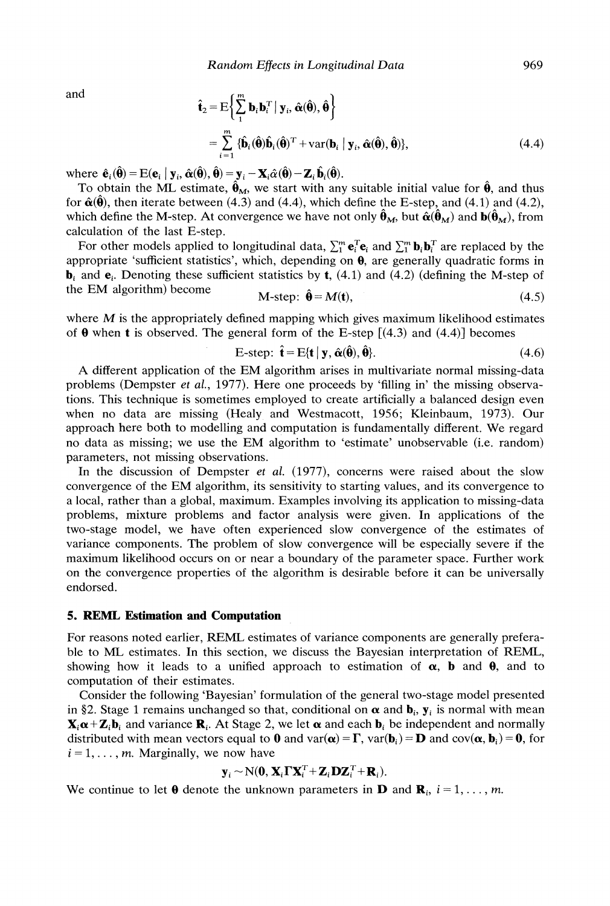and

$$
\hat{\mathbf{t}}_2 = \mathbf{E} \bigg\{ \sum_{i=1}^{m} \mathbf{b}_i \mathbf{b}_i^T \mid \mathbf{y}_i, \hat{\boldsymbol{\alpha}}(\hat{\boldsymbol{\theta}}), \hat{\boldsymbol{\theta}} \bigg\}
$$
\n
$$
= \sum_{i=1}^{m} \{ \hat{\mathbf{b}}_i(\hat{\boldsymbol{\theta}}) \hat{\mathbf{b}}_i(\hat{\boldsymbol{\theta}})^T + \mathbf{var}(\mathbf{b}_i \mid \mathbf{y}_i, \hat{\boldsymbol{\alpha}}(\hat{\boldsymbol{\theta}}), \hat{\boldsymbol{\theta}}) \},
$$
\n(4.4)

where  $\hat{\mathbf{e}}_i(\hat{\mathbf{\theta}}) = E(\mathbf{e}_i \mid \mathbf{y}_i, \hat{\boldsymbol{\alpha}}(\hat{\mathbf{\theta}}), \hat{\boldsymbol{\theta}}) = \mathbf{y}_i - \mathbf{X}_i \hat{\boldsymbol{\alpha}}(\hat{\mathbf{\theta}}) - \mathbf{Z}_i \hat{\mathbf{b}}_i(\hat{\mathbf{\theta}}).$ 

To obtain the ML estimate,  $\hat{\theta}_M$ , we start with any suitable initial value for  $\hat{\theta}$ , and thus for  $\hat{\alpha}(\hat{\theta})$ , then iterate between (4.3) and (4.4), which define the E-step, and (4.1) and (4.2), which define the M-step. At convergence we have not only  $\hat{\theta}_M$ , but  $\hat{\alpha}(\hat{\theta}_M)$  and  $\hat{\theta}(\hat{\theta}_M)$ , from calculation of the last E-step.

For other models applied to longitudinal data,  $\sum_{i=1}^{m} \mathbf{e}_i^T \mathbf{e}_i$  and  $\sum_{i=1}^{m} \mathbf{b}_i \mathbf{b}_i^T$  are replaced by the appropriate 'sufficient statistics', which, depending on **0,** are generally quadratic forms in **, and**  $**e**$ **. Denoting these sufficient statistics by <b>t**, (4.1) and (4.2) (defining the M-step of the EM algorithm) become

$$
\mathbf{M}\text{-step: }\mathbf{\Theta} = \mathbf{M(t)},\tag{4.5}
$$

where  $M$  is the appropriately defined mapping which gives maximum likelihood estimates of  $\theta$  when **t** is observed. The general form of the E-step  $[(4.3)$  and  $(4.4)]$  becomes

$$
\mathbf{E}\text{-step: }\hat{\mathbf{t}} = \mathbf{E}\{\mathbf{t} \mid \mathbf{y}, \hat{\mathbf{\alpha}}(\hat{\mathbf{\theta}}), \hat{\mathbf{\theta}}\}.
$$
\n(4.6)

A different application of the EM algorithm arises in multivariate normal missing-data problems (Dempster *et al.,* 1977). Here one proceeds by 'filling in' the missing observations. This technique is sometimes employed to create artificially a balanced design even when no data are missing (Healy and Westmacott, 1956; Kleinbaum, 1973). Our approach here both to modelling and computation is fundamentally different. We regard no data as missing; we use the EM algorithm to 'estimate' unobservable (i.e. random) parameters, not missing observations.

In the discussion of Dempster *et al.* (1977), concerns were raised about the slow convergence of the EM algorithm, its sensitivity to starting values, and its convergence to a local, rather than a global, maximum. Examples involving its application to missing-data problems, mixture problems and factor analysis were given. In applications of the two-stage model, we have often experienced slow convergence of the estimates of variance components. The problem of slow convergence will be especially severe if the maximum likelihood occurs on or near a boundary of the parameter space. Further work on the convergence properties of the algorithm is desirable before it can be universally endorsed.

#### 5. REML Estimation **and** Computation

For reasons noted earlier, REML estimates of variance components are generally preferable to ML estimates. In this section, we discuss the Bayesian interpretation of REML, showing how it leads to a unified approach to estimation of  $\alpha$ , **b** and **0**, and to computation of their estimates.

Consider the following 'Bayesian' formulation of the general two-stage model presented in §2. Stage 1 remains unchanged so that, conditional on  $\alpha$  and  $\mathbf{b}_i$ ,  $\mathbf{y}_i$  is normal with mean  $\mathbf{X}_i \boldsymbol{\alpha} + \mathbf{Z}_i \mathbf{b}_i$  and variance  $\mathbf{R}_i$ . At Stage 2, we let  $\boldsymbol{\alpha}$  and each  $\mathbf{b}_i$  be independent and normally distributed with mean vectors equal to **0** and var( $\alpha$ ) =  $\Gamma$ , var( $b$ <sub>i</sub>) = **D** and cov( $\alpha$ ,  $b$ <sub>i</sub>) = **0**, for  $i = 1, \ldots, m$ . Marginally, we now have

$$
\mathbf{y}_i \sim N(\mathbf{0}, \mathbf{X}_i \mathbf{\Gamma} \mathbf{X}_i^T + \mathbf{Z}_i \mathbf{D} \mathbf{Z}_i^T + \mathbf{R}_i).
$$

We continue to let  $\theta$  denote the unknown parameters in **D** and **R**<sub>*i*</sub>, *i* = 1, ..., *m*.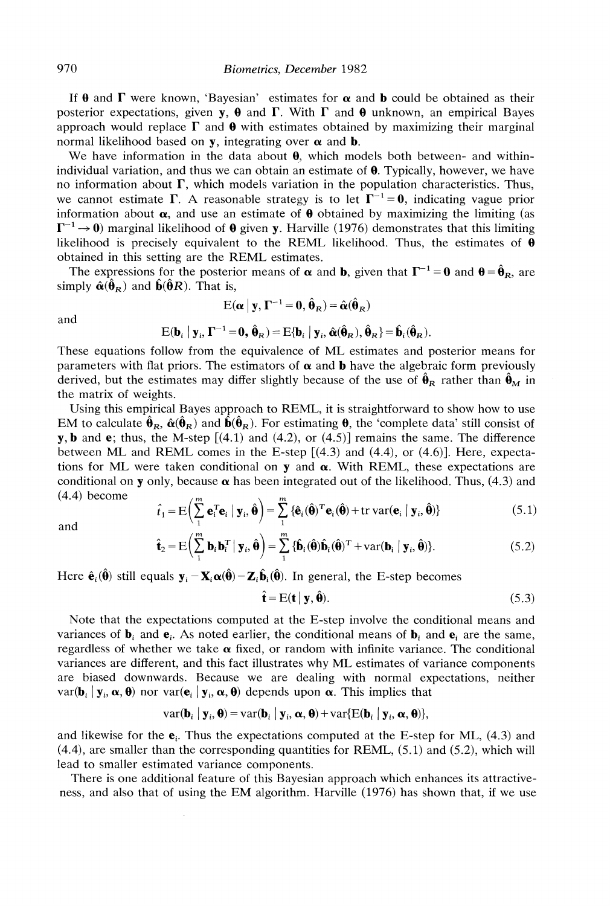If  $\theta$  and  $\Gamma$  were known, 'Bayesian' estimates for  $\alpha$  and **b** could be obtained as their posterior expectations, given y,  $\theta$  and  $\Gamma$ . With  $\Gamma$  and  $\theta$  unknown, an empirical Bayes approach would replace  $\Gamma$  and  $\theta$  with estimates obtained by maximizing their marginal normal likelihood based on y, integrating over **a** and b.

We have information in the data about  $\theta$ , which models both between- and withinindividual variation, and thus we can obtain an estimate of  $\theta$ . Typically, however, we have no information about  $\Gamma$ , which models variation in the population characteristics. Thus, we cannot estimate  $\Gamma$ . A reasonable strategy is to let  $\Gamma^{-1} = 0$ , indicating vague prior information about  $\alpha$ , and use an estimate of  $\theta$  obtained by maximizing the limiting (as  $\Gamma^{-1} \rightarrow 0$ ) marginal likelihood of  $\theta$  given y. Harville (1976) demonstrates that this limiting likelihood is precisely equivalent to the REML likelihood. Thus, the estimates of  $\theta$ obtained in this setting are the REML estimates.

The expressions for the posterior means of  $\alpha$  and **b**, given that  $\Gamma^{-1} = 0$  and  $\theta = \hat{\theta}_R$ , are simply  $\hat{\alpha}(\hat{\theta}_R)$  and  $\hat{\mathbf{b}}(\hat{\theta}R)$ . That is,

and

$$
E(\alpha | y, \Gamma^{-1} = 0, \hat{\theta}_R) = \hat{\alpha}(\hat{\theta}_R)
$$

$$
E(\mathbf{b}_i \mid \mathbf{y}_i, \Gamma^{-1} = \mathbf{0}, \hat{\mathbf{\theta}}_R) = E\{\mathbf{b}_i \mid \mathbf{y}_i, \hat{\boldsymbol{\alpha}}(\hat{\mathbf{\theta}}_R), \hat{\mathbf{\theta}}_R\} = \hat{\mathbf{b}}_i(\hat{\mathbf{\theta}}_R).
$$

These equations follow from the equivalence of ML estimates and posterior means for parameters with flat priors. The estimators of  $\alpha$  and **b** have the algebraic form previously derived, but the estimates may differ slightly because of the use of  $\hat{\theta}_R$  rather than  $\hat{\theta}_M$  in the matrix of weights.

Using this empirical Bayes approach to REML, it is straightforward to show how to use EM to calculate  $\hat{\theta}_R$ ,  $\hat{\alpha}(\hat{\theta}_R)$  and  $\hat{\beta}(\hat{\theta}_R)$ . For estimating  $\theta$ , the 'complete data' still consist of **y**, **b** and **e**; thus, the M-step  $[(4.1)$  and  $(4.2)$ , or  $(4.5)$  remains the same. The difference between ML and REML comes in the E-step  $[(4.3)$  and  $(4.4)$ , or  $(4.6)$ ]. Here, expectations for ML were taken conditional on  $y$  and  $\alpha$ . With REML, these expectations are conditional on y only, because  $\alpha$  has been integrated out of the likelihood. Thus, (4.3) and (4.4) become **rn** *vn* 

and 
$$
\hat{t}_1 = \mathbf{E} \Big( \sum_{i=1}^{m} \mathbf{e}_i^T \mathbf{e}_i \mid \mathbf{y}_i, \hat{\boldsymbol{\theta}} \Big) = \sum_{i=1}^{m} \{ \hat{\mathbf{e}}_i (\hat{\boldsymbol{\theta}})^T \mathbf{e}_i (\hat{\boldsymbol{\theta}}) + \text{tr} \, \text{var}(\mathbf{e}_i \mid \mathbf{y}_i, \hat{\boldsymbol{\theta}}) \} \tag{5.1}
$$

$$
\hat{\mathbf{t}}_2 = \mathbf{E}\left(\sum_{i}^{m} \mathbf{b}_i \mathbf{b}_i^T \mid \mathbf{y}_i, \hat{\boldsymbol{\theta}}\right) = \sum_{i}^{m} \{ \hat{\mathbf{b}}_i(\hat{\boldsymbol{\theta}}) \hat{\mathbf{b}}_i(\hat{\boldsymbol{\theta}})^T + \text{var}(\mathbf{b}_i \mid \mathbf{y}_i, \hat{\boldsymbol{\theta}}) \}.
$$
 (5.2)

Here  $\hat{\mathbf{e}}_i(\hat{\mathbf{\theta}})$  still equals  $\mathbf{y}_i - \mathbf{X}_i \alpha(\hat{\mathbf{\theta}}) - \mathbf{Z}_i \hat{\mathbf{b}}_i(\hat{\mathbf{\theta}})$ . In general, the E-step becomes

$$
\hat{\mathbf{t}} = \mathbf{E}(\mathbf{t} \mid \mathbf{y}, \hat{\mathbf{\theta}}). \tag{5.3}
$$

Note that the expectations computed at the E-step involve the conditional means and variances of  $\mathbf{b}_i$  and  $\mathbf{e}_i$ . As noted earlier, the conditional means of  $\mathbf{b}_i$  and  $\mathbf{e}_i$  are the same, regardless of whether we take  $\alpha$  fixed, or random with infinite variance. The conditional variances are different, and this fact illustrates why ML estimates of variance components are biased downwards. Because we are dealing with normal expectations, neither  $var(\mathbf{b}_i | \mathbf{y}_i, \alpha, \mathbf{\theta})$  nor  $var(\mathbf{e}_i | \mathbf{y}_i, \alpha, \mathbf{\theta})$  depends upon  $\alpha$ . This implies that

$$
var(\mathbf{b}_i \mid \mathbf{y}_i, \boldsymbol{\theta}) = var(\mathbf{b}_i \mid \mathbf{y}_i, \boldsymbol{\alpha}, \boldsymbol{\theta}) + var\{E(\mathbf{b}_i \mid \mathbf{y}_i, \boldsymbol{\alpha}, \boldsymbol{\theta})\}
$$

and likewise for the  $e_i$ . Thus the expectations computed at the E-step for ML, (4.3) and (4.4), are smaller than the corresponding quantities for REML, (5.1) and (5.2), which will lead to smaller estimated variance components.

There is one additional feature of this Bayesian approach which enhances its attractiveness, and also that of using the EM algorithm. Harville (1976) has shown that, if we use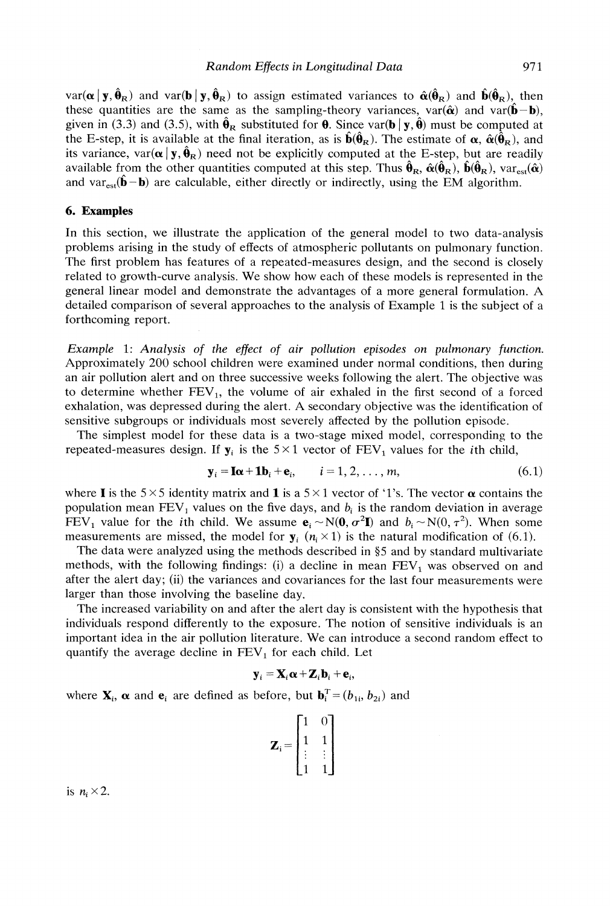$\text{var}(\alpha | y, \hat{\theta}_R)$  and  $\text{var}(\mathbf{b} | y, \hat{\theta}_R)$  to assign estimated variances to  $\hat{\alpha}(\hat{\theta}_R)$  and  $\hat{\mathbf{b}}(\hat{\theta}_R)$ , then these quantities are the same as the sampling-theory variances, var( $\hat{\alpha}$ ) and var( $\hat{\mathbf{b}} - \mathbf{b}$ ), given in (3.3) and (3.5), with  $\hat{\theta}_R$  substituted for **0**. Since var(b|y,  $\hat{\theta}$ ) must be computed at the E-step, it is available at the final iteration, as is  $\hat{\mathbf{b}}(\hat{\theta}_R)$ . The estimate of  $\alpha$ ,  $\hat{\alpha}(\hat{\theta}_R)$ , and its variance, var $(\alpha | y, \hat{\theta}_R)$  need not be explicitly computed at the E-step, but are readily available from the other quantities computed at this step. Thus  $\hat{\theta}_R$ ,  $\hat{\alpha}(\hat{\theta}_R)$ ,  $\hat{\mathbf{b}}(\hat{\theta}_R)$ ,  $var_{est}(\hat{\alpha})$ and var<sub>est</sub>( $\hat{\mathbf{b}} - \mathbf{b}$ ) are calculable, either directly or indirectly, using the EM algorithm.

#### **6. Examples**

In this section, we illustrate the application of the general model to two data-analysis problems arising in the study of effects of atmospheric pollutants on pulmonary function. The first problem has features of a repeated-measures design, and the second is closely related to growth-curve analysis. We show how each of these models is represented in the general linear model and demonstrate the advantages of a more general formulation. A detailed comparison of several approaches to the analysis of Example 1 is the subject of a forthcoming report.

*Example* 1: *Analysis of the effect of air pollution episodes on pulmonary function.*  Approximately *200* school children were examined under normal conditions, then during an air pollution alert and on three successive weeks following the alert. The objective was to determine whether  $FEV<sub>1</sub>$ , the volume of air exhaled in the first second of a forced exhalation, was depressed during the alert. A secondary objective was the identification of sensitive subgroups or individuals most severely affected by the pollution episode.

The simplest model for these data is a two-stage mixed model, corresponding to the repeated-measures design. If  $y_i$  is the  $5 \times 1$  vector of  $FEV_1$  values for the *i*th child,

$$
\mathbf{y}_i = \mathbf{I}\boldsymbol{\alpha} + \mathbf{1}\mathbf{b}_i + \mathbf{e}_i, \qquad i = 1, 2, \dots, m,
$$
 (6.1)

where **I** is the  $5 \times 5$  identity matrix and **1** is a  $5 \times 1$  vector of '1's. The vector  $\alpha$  contains the population mean  $FEV<sub>1</sub>$  values on the five days, and  $b<sub>i</sub>$  is the random deviation in average FEV<sub>1</sub> value for the *i*th child. We assume  $\mathbf{e}_i \sim N(\mathbf{0}, \sigma^2 \mathbf{I})$  and  $b_i \sim N(0, \tau^2)$ . When some measurements are missed, the model for  $y_i$  ( $n_i \times 1$ ) is the natural modification of (6.1).

The data were analyzed using the methods described in **65** and by standard multivariate methods, with the following findings: (i) a decline in mean  $FEV<sub>1</sub>$  was observed on and after the alert day; (ii) the variances and covariances for the last four measurements were larger than those involving the baseline day.

The increased variability on and after the alert day is consistent with the hypothesis that individuals respond differently to the exposure. The notion of sensitive individuals is an important idea in the air pollution literature. We can introduce a second random effect to quantify the average decline in  $FEV_1$  for each child. Let

$$
\mathbf{y}_i = \mathbf{X}_i \boldsymbol{\alpha} + \mathbf{Z}_i \mathbf{b}_i + \mathbf{e}_i,
$$

where  $\mathbf{X}_i$ ,  $\alpha$  and  $\mathbf{e}_i$  are defined as before, but  $\mathbf{b}_i^T = (b_{1i}, b_{2i})$  and

| $\mathbf{Z}_{\mathrm{i}}$<br>≔ |  |  |
|--------------------------------|--|--|
|                                |  |  |
|                                |  |  |
|                                |  |  |

is  $n_i \times 2$ .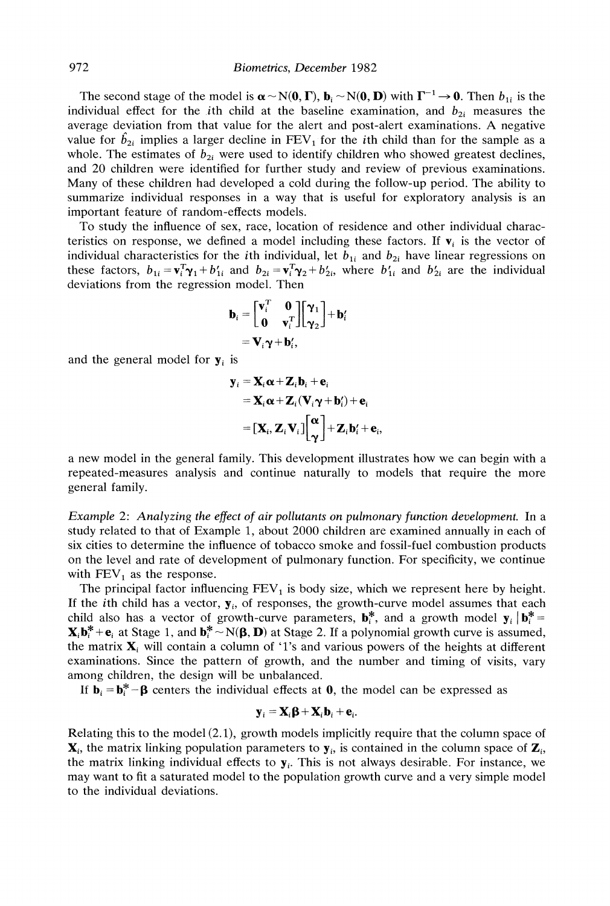The second stage of the model is  $\alpha \sim N(0, \Gamma)$ ,  $\mathbf{b}_i \sim N(0, \mathbf{D})$  with  $\Gamma^{-1} \rightarrow 0$ . Then  $b_{1i}$  is the individual effect for the *i*th child at the baseline examination, and  $b_{2i}$  measures the average deviation from that value for the alert and post-alert examinations. A negative value for  $\hat{b}_{2i}$  implies a larger decline in  $FEV_1$  for the *i*th child than for the sample as a whole. The estimates of  $b_{2i}$  were used to identify children who showed greatest declines, and 20 children were identified for further study and review of previous examinations. Many of these children had developed a cold during the follow-up period. The ability to summarize individual responses in a way that is useful for exploratory analysis is an important feature of random-effects models.

To study the influence of sex, race, location of residence and other individual characteristics on response, we defined a model including these factors. If  $\mathbf{v}_i$  is the vector of individual characteristics for the *i*th individual, let  $b_{1i}$  and  $b_{2i}$  have linear regressions on these factors,  $b_{1i} = \mathbf{v}_i^T \mathbf{\gamma}_1 + b_{1i}'$  and  $b_{2i} = \mathbf{v}_i^T \mathbf{\gamma}_2 + b_{2i}'$ , where  $b_{1i}'$  and  $b_{2i}'$  are the individual deviations from the regression model. Then

$$
\mathbf{b}_i = \begin{bmatrix} \mathbf{v}_i^T & \mathbf{0} \\ \mathbf{0} & \mathbf{v}_i^T \end{bmatrix} \begin{bmatrix} \gamma_1 \\ \gamma_2 \end{bmatrix} + \mathbf{b}_i' \n= \mathbf{V}_i \gamma + \mathbf{b}_i',
$$

and the general model for  $y_i$  is

$$
\mathbf{y}_{i} = \mathbf{X}_{i} \alpha + \mathbf{Z}_{i} \mathbf{b}_{i} + \mathbf{e}_{i}
$$
\n
$$
= \mathbf{X}_{i} \alpha + \mathbf{Z}_{i} (\mathbf{V}_{i} \gamma + \mathbf{b}_{i}') + \mathbf{e}_{i}
$$
\n
$$
= [\mathbf{X}_{i}, \mathbf{Z}_{i} \mathbf{V}_{i}]\begin{bmatrix} \alpha \\ \gamma \end{bmatrix} + \mathbf{Z}_{i} \mathbf{b}_{i}' + \mathbf{e}_{i},
$$

a new model in the general family. This development illustrates how we can begin with a repeated-measures analysis and continue naturally to models that require the more general family.

Example 2: Analyzing the effect of air pollutants on pulmonary function development. In a study related to that of Example 1, about 2000 children are examined annually in each of six cities to determine the influence of tobacco smoke and fossil-fuel combustion products on the level and rate of development of pulmonary function. For specificity, we continue with  $FEV_1$  as the response.

The principal factor influencing  $FEV_1$  is body size, which we represent here by height. If the *i*th child has a vector,  $\mathbf{y}_i$ , of responses, the growth-curve model assumes that each child also has a vector of growth-curve parameters,  $\mathbf{b}_i^*$ , and a growth model  $\mathbf{y}_i \mid \mathbf{b}_i^* =$  $\mathbf{X}_i \mathbf{b}_i^* + \mathbf{e}_i$  at Stage 1, and  $\mathbf{b}_i^* \sim N(\mathbf{\beta}, \mathbf{D})$  at Stage 2. If a polynomial growth curve is assumed, the matrix  $\mathbf{X}_i$  will contain a column of '1's and various powers of the heights at different examinations. Since the pattern of growth, and the number and timing of visits, vary among children, the design will be unbalanced.

If  $\mathbf{b}_i = \mathbf{b}_i^* - \mathbf{\beta}$  centers the individual effects at **0**, the model can be expressed as

$$
\mathbf{y}_i = \mathbf{X}_i \mathbf{\beta} + \mathbf{X}_i \mathbf{b}_i + \mathbf{e}_i.
$$

Relating this to the model (2.1), growth models implicitly require that the column space of  $\mathbf{X}_i$ , the matrix linking population parameters to  $\mathbf{y}_i$ , is contained in the column space of  $\mathbf{Z}_i$ , the matrix linking individual effects to  $y_i$ . This is not always desirable. For instance, we may want to fit a saturated model to the population growth curve and a very simple model to the individual deviations.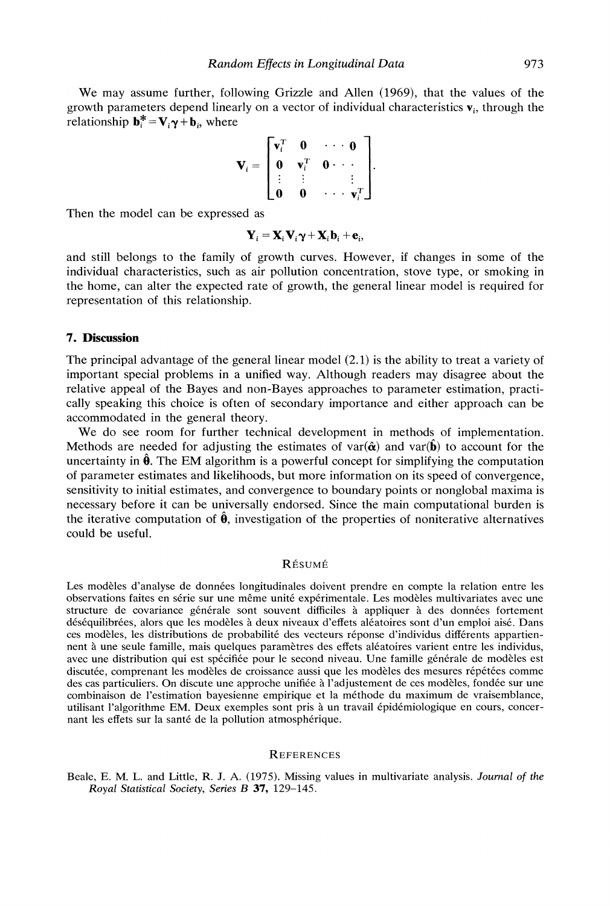We may assume further, following Grizzle and Allen (1969), that the values of the growth parameters depend linearly on a vector of individual characteristics  $\mathbf{v}_i$ , through the relationship  $\mathbf{b}_i^* = \mathbf{V}_i \mathbf{\gamma} + \mathbf{b}_i$ , where

$$
\mathbf{V}_i = \begin{bmatrix} \mathbf{v}_i^T & \mathbf{0} & \cdots & \mathbf{0} \\ \mathbf{0} & \mathbf{v}_i^T & \mathbf{0} & \cdots \\ \vdots & \vdots & & \vdots \\ \mathbf{0} & \mathbf{0} & \cdots & \mathbf{v}_i^T \end{bmatrix}.
$$

Then the model can be expressed as

$$
\mathbf{Y}_i = \mathbf{X}_i \mathbf{V}_i \mathbf{\gamma} + \mathbf{X}_i \mathbf{b}_i + \mathbf{e}_i,
$$

and still belongs to the family of growth curves. However, if changes in some of the individual characteristics, such as air pollution concentration, stove type, or smoking in the home, can alter the expected rate of growth, the general linear model is required for representation of this relationship.

## **7. Discussion**

The principal advantage of the general linear model (2.1) is the ability to treat a variety of important special problems in a unified way. Although readers may disagree about the relative appeal of the Bayes and non-Bayes approaches to parameter estimation, practically speaking this choice is often of secondary importance and either approach can be accommodated in the general theory.

We do see room for further technical development in methods of implementation. Methods are needed for adjusting the estimates of var $(\hat{\alpha})$  and var $(\hat{\bf{b}})$  to account for the uncertainty in  $\hat{\theta}$ . The EM algorithm is a powerful concept for simplifying the computation of parameter estimates and likelihoods, but more information on its speed of convergence, sensitivity to initial estimates, and convergence to boundary points or nonglobal maxima is necessary before it can be universally endorsed. Since the main computational burden is the iterative computation of  $\hat{\theta}$ , investigation of the properties of noniterative alternatives could be useful.

#### RÉSUMÉ

Les modèles d'analyse de données longitudinales doivent prendre en compte la relation entre les observations faites en série sur une même unité expérimentale. Les modèles multivariates avec une structure de covariance générale sont souvent difficiles à appliquer à des données fortement déséquilibrées, alors que les modèles à deux niveaux d'effets aléatoires sont d'un emploi aisé. Dans ces modèles, les distributions de probabilité des vecteurs réponse d'individus différents appartiennent à une seule famille, mais quelques paramètres des effets aléatoires varient entre les individus, avec une distribution qui est spécifiée pour le second niveau. Une famille générale de modèles est discutée, comprenant les modèles de croissance aussi que les modèles des mesures répétées comme des cas particuliers. On discute une approche unifiée à l'adjustement de ces modèles, fondée sur une combinaison de l'estimation bayesienne empirique et la méthode du maximum de vraisemblance, utilisant l'algorithme EM. Deux exemples sont pris à un travail épidémiologique en cours, concernant les effets sur la santé de la pollution atmosphérique.

#### **REFERENCES**

Beale, E. M. L. and Little, R. J. A. (1975). Missing values in multivariate analysis. Journal of the Royal Statistical Society, Series B 37, 129-145.